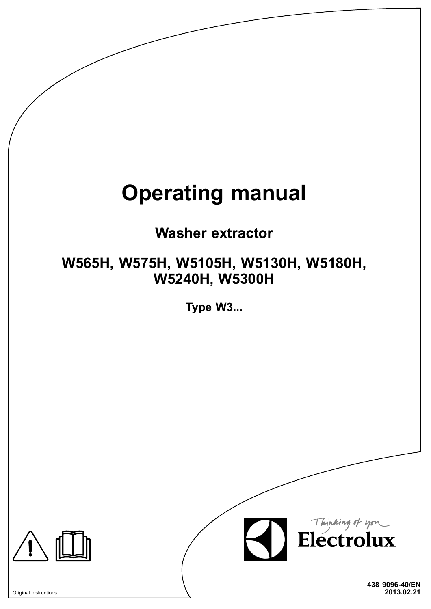# **Operating manual**

## **Washer extractor**

## **W565H, W575H, W5105H, W5130H, W5180H, W5240H, W5300H**

**Type W3...**



**438 9096-40/EN** Original instructions **2013.02.21**

Thinking of you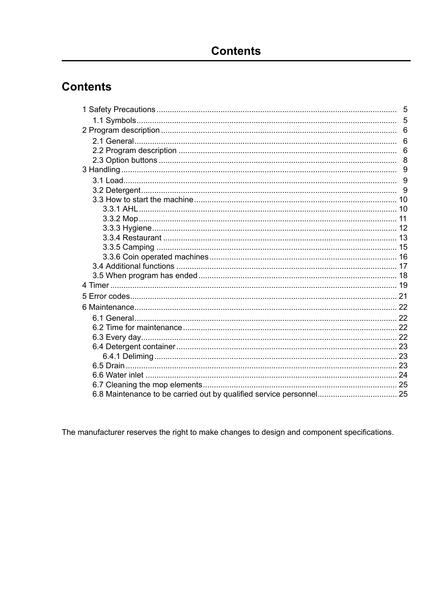## **Contents**

The manufacturer reserves the right to make changes to design and component specifications.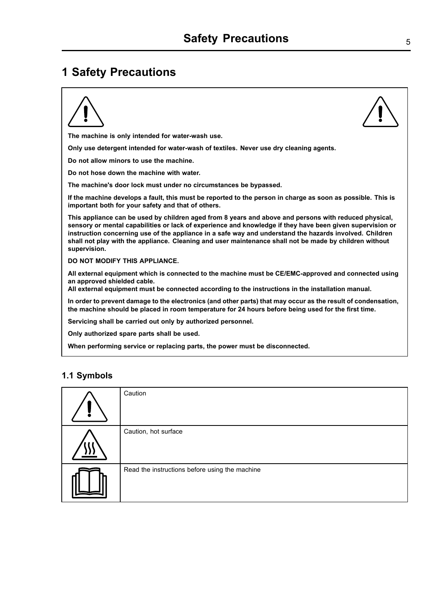## <span id="page-4-0"></span>**1 Safety Precautions**



**When performing service or replacing parts, the power must be disconnected.**

#### **1.1 Symbols**

| Caution                                        |
|------------------------------------------------|
| Caution, hot surface                           |
| Read the instructions before using the machine |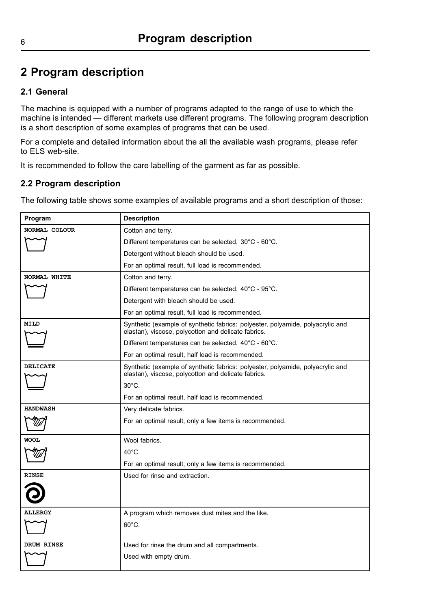## <span id="page-5-0"></span>**2 Program description**

### **2.1 General**

The machine is equipped with <sup>a</sup> number of programs adapted to the range of use to which the machine is intended — different markets use different programs. The following program description is <sup>a</sup> short description of some examples of programs that can be used.

For <sup>a</sup> complete and detailed information about the all the available wash programs, please refer to ELS web-site.

It is recommended to follow the care labelling of the garment as far as possible.

### **2.2 Program description**

The following table shows some examples of available programs and <sup>a</sup> short description of those:

| Program         | <b>Description</b>                                                                                                                    |  |  |
|-----------------|---------------------------------------------------------------------------------------------------------------------------------------|--|--|
| NORMAL COLOUR   | Cotton and terry.                                                                                                                     |  |  |
|                 | Different temperatures can be selected. 30°C - 60°C.                                                                                  |  |  |
|                 | Detergent without bleach should be used.                                                                                              |  |  |
|                 | For an optimal result, full load is recommended.                                                                                      |  |  |
| NORMAL WHITE    | Cotton and terry.                                                                                                                     |  |  |
|                 | Different temperatures can be selected. 40°C - 95°C.                                                                                  |  |  |
|                 | Detergent with bleach should be used.                                                                                                 |  |  |
|                 | For an optimal result, full load is recommended.                                                                                      |  |  |
| <b>MILD</b>     | Synthetic (example of synthetic fabrics: polyester, polyamide, polyacrylic and<br>elastan), viscose, polycotton and delicate fabrics. |  |  |
|                 | Different temperatures can be selected. 40°C - 60°C.                                                                                  |  |  |
|                 | For an optimal result, half load is recommended.                                                                                      |  |  |
| <b>DELICATE</b> | Synthetic (example of synthetic fabrics: polyester, polyamide, polyacrylic and<br>elastan), viscose, polycotton and delicate fabrics. |  |  |
|                 | $30^{\circ}$ C.                                                                                                                       |  |  |
|                 | For an optimal result, half load is recommended.                                                                                      |  |  |
| <b>HANDWASH</b> | Very delicate fabrics.                                                                                                                |  |  |
|                 | For an optimal result, only a few items is recommended.                                                                               |  |  |
| <b>WOOL</b>     | Wool fabrics.                                                                                                                         |  |  |
|                 | $40^{\circ}$ C.                                                                                                                       |  |  |
|                 | For an optimal result, only a few items is recommended.                                                                               |  |  |
| <b>RINSE</b>    | Used for rinse and extraction.                                                                                                        |  |  |
|                 |                                                                                                                                       |  |  |
| <b>ALLERGY</b>  | A program which removes dust mites and the like.                                                                                      |  |  |
|                 | 60°C.                                                                                                                                 |  |  |
| DRUM RINSE      | Used for rinse the drum and all compartments.                                                                                         |  |  |
|                 | Used with empty drum.                                                                                                                 |  |  |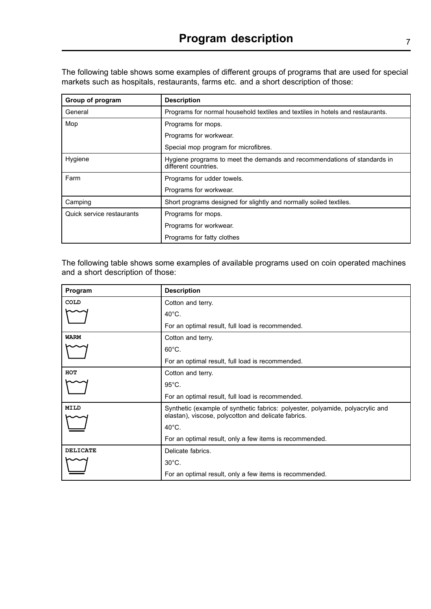The following table shows some examples of different groups of programs that are used for special markets such as hospitals, restaurants, farms etc. and <sup>a</sup> short description of those:

| Group of program          | <b>Description</b>                                                                               |  |
|---------------------------|--------------------------------------------------------------------------------------------------|--|
| General                   | Programs for normal household textiles and textiles in hotels and restaurants.                   |  |
| Mop                       | Programs for mops.                                                                               |  |
|                           | Programs for workwear.                                                                           |  |
|                           | Special mop program for microfibres.                                                             |  |
| Hygiene                   | Hygiene programs to meet the demands and recommendations of standards in<br>different countries. |  |
| Farm                      | Programs for udder towels.                                                                       |  |
|                           | Programs for workwear.                                                                           |  |
| Camping                   | Short programs designed for slightly and normally soiled textiles.                               |  |
| Quick service restaurants | Programs for mops.                                                                               |  |
|                           | Programs for workwear.                                                                           |  |
|                           | Programs for fatty clothes                                                                       |  |

The following table shows some examples of available programs used on coin operated machines and <sup>a</sup> short description of those:

| Program         | <b>Description</b>                                                                                                                    |  |
|-----------------|---------------------------------------------------------------------------------------------------------------------------------------|--|
| <b>COLD</b>     | Cotton and terry.                                                                                                                     |  |
|                 | $40^{\circ}$ C.                                                                                                                       |  |
|                 | For an optimal result, full load is recommended.                                                                                      |  |
| <b>WARM</b>     | Cotton and terry.                                                                                                                     |  |
|                 | $60^{\circ}$ C.                                                                                                                       |  |
|                 | For an optimal result, full load is recommended.                                                                                      |  |
| HOT             | Cotton and terry.                                                                                                                     |  |
|                 | $95^{\circ}$ C.                                                                                                                       |  |
|                 | For an optimal result, full load is recommended.                                                                                      |  |
| <b>MILD</b>     | Synthetic (example of synthetic fabrics: polyester, polyamide, polyacrylic and<br>elastan), viscose, polycotton and delicate fabrics. |  |
|                 | $40^{\circ}$ C.                                                                                                                       |  |
|                 | For an optimal result, only a few items is recommended.                                                                               |  |
| <b>DELICATE</b> | Delicate fabrics.                                                                                                                     |  |
|                 | $30^{\circ}$ C.                                                                                                                       |  |
|                 | For an optimal result, only a few items is recommended.                                                                               |  |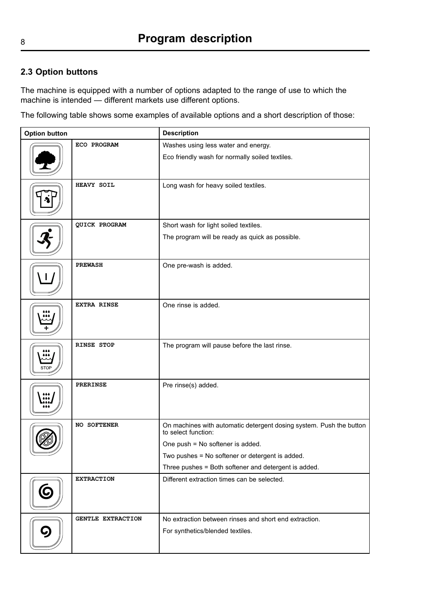### <span id="page-7-0"></span>**2.3 Option buttons**

The machine is equipped with <sup>a</sup> number of options adapted to the range of use to which the machine is intended — different markets use different options.

The following table shows some examples of available options and <sup>a</sup> short description of those:

| <b>Option button</b> |                      | <b>Description</b>                                                                         |
|----------------------|----------------------|--------------------------------------------------------------------------------------------|
|                      | ECO PROGRAM          | Washes using less water and energy.                                                        |
|                      |                      | Eco friendly wash for normally soiled textiles.                                            |
|                      | HEAVY SOIL           | Long wash for heavy soiled textiles.                                                       |
|                      | <b>QUICK PROGRAM</b> | Short wash for light soiled textiles.                                                      |
|                      |                      | The program will be ready as quick as possible.                                            |
|                      | <b>PREWASH</b>       | One pre-wash is added.                                                                     |
|                      | <b>EXTRA RINSE</b>   | One rinse is added.                                                                        |
| STO                  | <b>RINSE STOP</b>    | The program will pause before the last rinse.                                              |
|                      | <b>PRERINSE</b>      | Pre rinse(s) added.                                                                        |
|                      | <b>NO SOFTENER</b>   | On machines with automatic detergent dosing system. Push the button<br>to select function: |
|                      |                      | One push = No softener is added.                                                           |
|                      |                      | Two pushes = No softener or detergent is added.                                            |
|                      |                      | Three pushes = Both softener and detergent is added.                                       |
|                      | <b>EXTRACTION</b>    | Different extraction times can be selected.                                                |
|                      | GENTLE EXTRACTION    | No extraction between rinses and short end extraction.                                     |
|                      |                      | For synthetics/blended textiles.                                                           |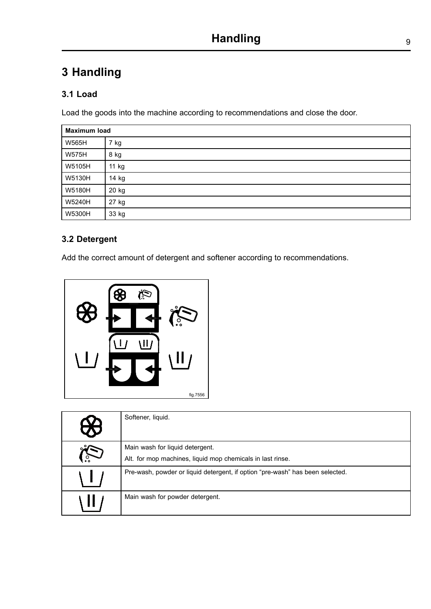## <span id="page-8-0"></span>**3 Handling**

## **3.1 Load**

Load the goods into the machine according to recommendations and close the door.

| <b>Maximum load</b> |       |  |
|---------------------|-------|--|
| <b>W565H</b>        | 7 kg  |  |
| <b>W575H</b>        | 8 kg  |  |
| W5105H              | 11 kg |  |
| W5130H              | 14 kg |  |
| W5180H              | 20 kg |  |
| W5240H              | 27 kg |  |
| W5300H              | 33 kg |  |

## **3.2 Detergent**

Add the correct amount of detergent and softener according to recommendations.



| <u>V </u> | Softener, liquid.                                                                             |
|-----------|-----------------------------------------------------------------------------------------------|
|           | Main wash for liquid detergent.<br>Alt. for mop machines, liquid mop chemicals in last rinse. |
|           | Pre-wash, powder or liquid detergent, if option "pre-wash" has been selected.                 |
|           | Main wash for powder detergent.                                                               |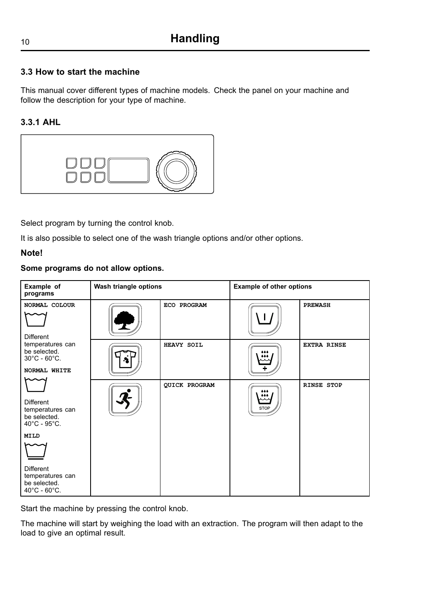### <span id="page-9-0"></span>**3.3 How to start the machine**

This manual cover different types of machine models. Check the panel on your machine and follow the description for your type of machine.

#### **3.3.1 AHL**



Select program by turning the control knob.

It is also possible to select one of the wash triangle options and/or other options.

#### **Note!**

#### **Some programs do not allow options.**

| Example of<br>programs                                                               | Wash triangle options |                      | <b>Example of other options</b> |                    |
|--------------------------------------------------------------------------------------|-----------------------|----------------------|---------------------------------|--------------------|
| NORMAL COLOUR<br>Different                                                           |                       | ECO PROGRAM          |                                 | <b>PREWASH</b>     |
| temperatures can<br>be selected.<br>$30^{\circ}$ C - $60^{\circ}$ C.<br>NORMAL WHITE |                       | HEAVY SOIL           |                                 | <b>EXTRA RINSE</b> |
| <b>Different</b><br>temperatures can<br>be selected.<br>40°C - 95°C.                 |                       | <b>QUICK PROGRAM</b> | <b>STOP</b>                     | <b>RINSE STOP</b>  |
| <b>MILD</b>                                                                          |                       |                      |                                 |                    |
| Different<br>temperatures can<br>be selected.<br>$40^{\circ}$ C - $60^{\circ}$ C.    |                       |                      |                                 |                    |

Start the machine by pressing the control knob.

The machine will start by weighing the load with an extraction. The program will then adapt to the load to give an optimal result.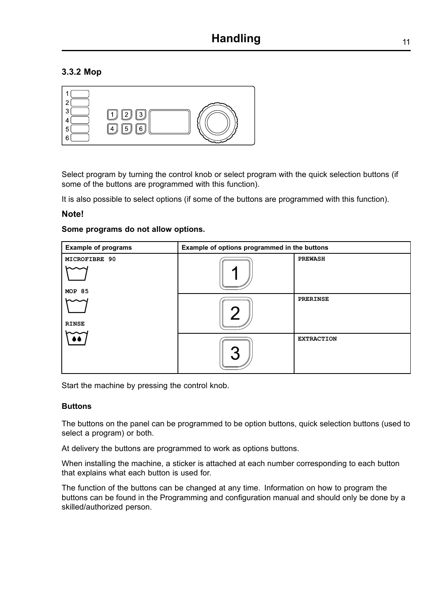### <span id="page-10-0"></span>**3.3.2 Mop**

| ۰.<br>c<br>5<br>c<br>5<br>հ |
|-----------------------------|
|-----------------------------|

Select program by turning the control knob or select program with the quick selection buttons (if some of the buttons are programmed with this function).

It is also possible to select options (if some of the buttons are programmed with this function).

#### **Note!**

#### **Some programs do not allow options.**

| <b>Example of programs</b> | Example of options programmed in the buttons |                   |  |
|----------------------------|----------------------------------------------|-------------------|--|
| MICROFIBRE 90              |                                              | <b>PREWASH</b>    |  |
| <b>MOP 85</b>              |                                              |                   |  |
| <b>RINSE</b>               |                                              | PRERINSE          |  |
|                            |                                              | <b>EXTRACTION</b> |  |

Start the machine by pressing the control knob.

#### **Buttons**

The buttons on the panel can be programmed to be option buttons, quick selection buttons (used to select <sup>a</sup> program) or both.

At delivery the buttons are programmed to work as options buttons.

When installing the machine, <sup>a</sup> sticker is attached at each number corresponding to each button that explains what each button is used for.

The function of the buttons can be changed at any time. Information on how to program the buttons can be found in the Programming and configuration manual and should only be done by <sup>a</sup> skilled/authorized person.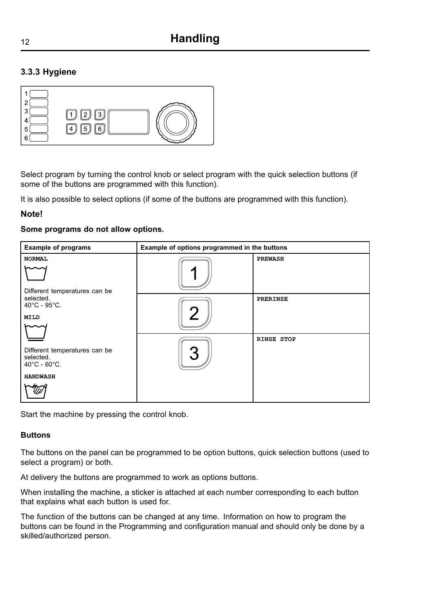## <span id="page-11-0"></span><sup>12</sup> **[Handling](#page-8-0)**

#### **3.3.3 Hygiene**



Select program by turning the control knob or select program with the quick selection buttons (if some of the buttons are programmed with this function).

It is also possible to select options (if some of the buttons are programmed with this function).

#### **Note!**

#### **Some programs do not allow options.**

| <b>Example of programs</b>                                                      | Example of options programmed in the buttons |                   |  |
|---------------------------------------------------------------------------------|----------------------------------------------|-------------------|--|
| <b>NORMAL</b><br>Different temperatures can be                                  |                                              | <b>PREWASH</b>    |  |
| selected.<br>$40^{\circ}$ C - 95 $^{\circ}$ C.<br>MILD                          |                                              | <b>PRERINSE</b>   |  |
| Different temperatures can be<br>selected.<br>$40^{\circ}$ C - 60 $^{\circ}$ C. |                                              | <b>RINSE STOP</b> |  |
| <b>HANDWASH</b>                                                                 |                                              |                   |  |

Start the machine by pressing the control knob.

#### **Buttons**

The buttons on the panel can be programmed to be option buttons, quick selection buttons (used to select <sup>a</sup> program) or both.

At delivery the buttons are programmed to work as options buttons.

When installing the machine, <sup>a</sup> sticker is attached at each number corresponding to each button that explains what each button is used for.

The function of the buttons can be changed at any time. Information on how to program the buttons can be found in the Programming and configuration manual and should only be done by <sup>a</sup> skilled/authorized person.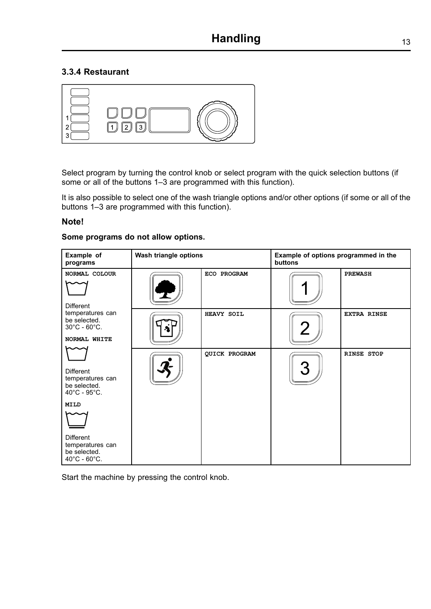#### <span id="page-12-0"></span>**3.3.4 Restaurant**



Select program by turning the control knob or select program with the quick selection buttons (if some or all of the buttons 1–3 are programmed with this function).

It is also possible to select one of the wash triangle options and/or other options (if some or all of the buttons 1–3 are programmed with this function).

#### **Note!**

#### **Some programs do not allow options.**

| Example of<br>programs                                                                                                                                                   | Wash triangle options |                      | Example of options programmed in the<br>buttons |                    |
|--------------------------------------------------------------------------------------------------------------------------------------------------------------------------|-----------------------|----------------------|-------------------------------------------------|--------------------|
| NORMAL COLOUR<br>Different                                                                                                                                               |                       | ECO PROGRAM          |                                                 | <b>PREWASH</b>     |
| temperatures can<br>be selected.<br>$30^{\circ}$ C - 60 $^{\circ}$ C.<br>NORMAL WHITE                                                                                    |                       | HEAVY SOIL           |                                                 | <b>EXTRA RINSE</b> |
| Different<br>temperatures can<br>be selected.<br>40°C - 95°C.<br><b>MILD</b><br><b>Different</b><br>temperatures can<br>be selected.<br>$40^{\circ}$ C - $60^{\circ}$ C. |                       | <b>QUICK PROGRAM</b> |                                                 | <b>RINSE STOP</b>  |

Start the machine by pressing the control knob.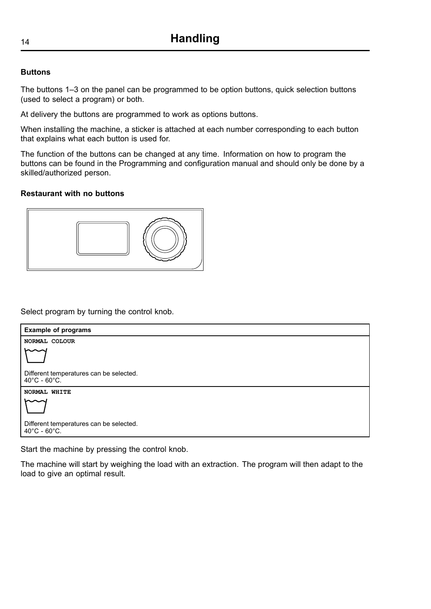#### **Buttons**

The buttons 1–3 on the panel can be programmed to be option buttons, quick selection buttons (used to select <sup>a</sup> program) or both.

At delivery the buttons are programmed to work as options buttons.

When installing the machine, <sup>a</sup> sticker is attached at each number corresponding to each button that explains what each button is used for.

The function of the buttons can be changed at any time. Information on how to program the buttons can be found in the Programming and configuration manual and should only be done by <sup>a</sup> skilled/authorized person.

#### **Restaurant with no buttons**



Select program by turning the control knob.

| <b>Example of programs</b>                                                   |
|------------------------------------------------------------------------------|
| NORMAL COLOUR                                                                |
|                                                                              |
| Different temperatures can be selected.<br>$40^{\circ}$ C - 60 $^{\circ}$ C. |
| NORMAL WHITE                                                                 |
|                                                                              |
| Different temperatures can be selected.<br>$40^{\circ}$ C - 60 $^{\circ}$ C. |

Start the machine by pressing the control knob.

The machine will start by weighing the load with an extraction. The program will then adapt to the load to give an optimal result.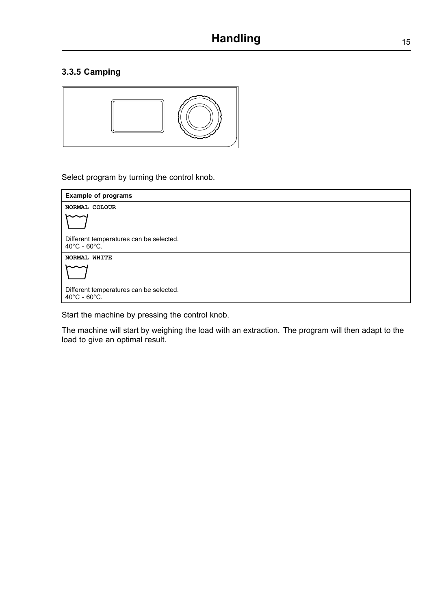#### <span id="page-14-0"></span>**3.3.5 Camping**



Select program by turning the control knob.



Start the machine by pressing the control knob.

The machine will start by weighing the load with an extraction. The program will then adapt to the load to give an optimal result.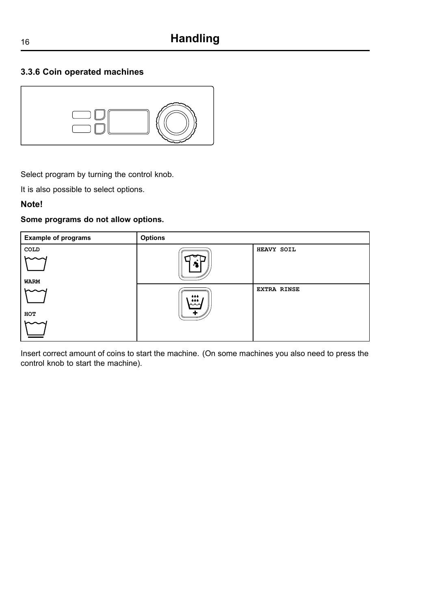### <span id="page-15-0"></span>**3.3.6 Coin operated machines**



Select program by turning the control knob.

It is also possible to select options.

#### **Note!**

#### **Some programs do not allow options.**



Insert correct amount of coins to start the machine. (On some machines you also need to press the control knob to start the machine).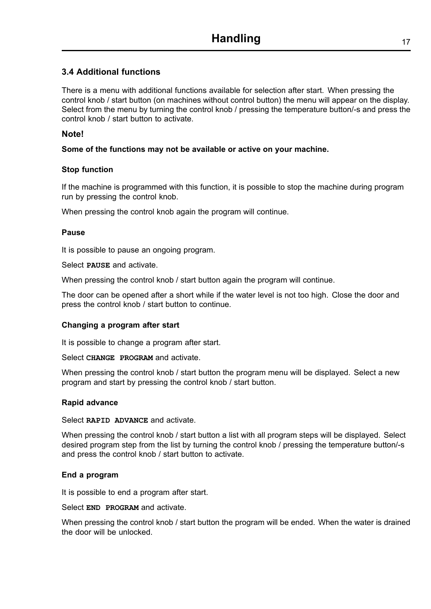#### <span id="page-16-0"></span>**3.4 Additional functions**

There is <sup>a</sup> menu with additional functions available for selection after start. When pressing the control knob / start button (on machines without control button) the menu will appear on the display. Select from the menu by turning the control knob / pressing the temperature button/-s and press the control knob / start button to activate.

#### **Note!**

#### **Some of the functions may not be available or active on your machine.**

#### **Stop function**

If the machine is programmed with this function, it is possible to stop the machine during program run by pressing the control knob.

When pressing the control knob again the program will continue.

#### **Pause**

It is possible to pause an ongoing program.

Select **PAUSE** and activate.

When pressing the control knob / start button again the program will continue.

The door can be opened after <sup>a</sup> short while if the water level is not too high. Close the door and press the control knob / start button to continue.

#### **Changing <sup>a</sup> program after start**

It is possible to change <sup>a</sup> program after start.

Select **CHANGE PROGRAM** and activate.

When pressing the control knob / start button the program menu will be displayed. Select a new program and start by pressing the control knob / start button.

#### **Rapid advance**

Select **RAPID ADVANCE** and activate.

When pressing the control knob / start button a list with all program steps will be displayed. Select desired program step from the list by turning the control knob / pressing the temperature button/-s and press the control knob / start button to activate.

#### **End <sup>a</sup> program**

It is possible to end <sup>a</sup> program after start.

Select **END PROGRAM** and activate.

When pressing the control knob / start button the program will be ended. When the water is drained the door will be unlocked.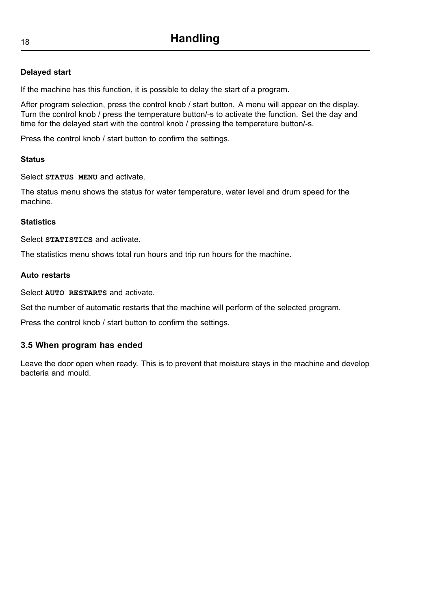#### **Delayed start**

If the machine has this function, it is possible to delay the start of <sup>a</sup> program.

After program selection, press the control knob / start button. A menu will appear on the display. Turn the control knob / press the temperature button/-s to activate the function. Set the day and time for the delayed start with the control knob / pressing the temperature button/-s.

Press the control knob / start button to confirm the settings.

#### **Status**

Select **STATUS MENU** and activate.

The status menu shows the status for water temperature, water level and drum speed for the machine.

#### **Statistics**

Select **STATISTICS** and activate.

The statistics menu shows total run hours and trip run hours for the machine.

#### **Auto restarts**

Select **AUTO RESTARTS** and activate.

Set the number of automatic restarts that the machine will perform of the selected program.

Press the control knob / start button to confirm the settings.

#### **3.5 When program has ended**

Leave the door open when ready. This is to prevent that moisture stays in the machine and develop bacteria and mould.

<span id="page-17-0"></span>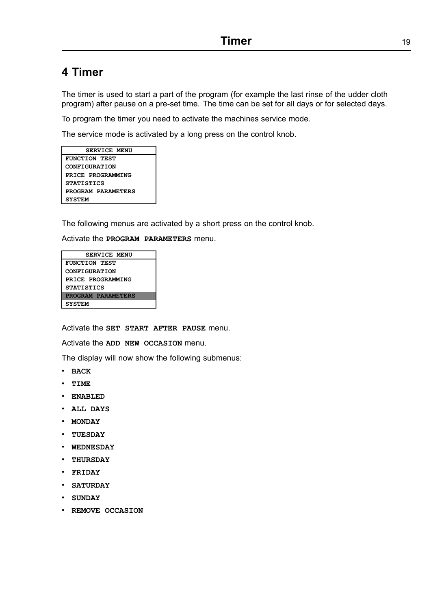## <span id="page-18-0"></span>**4 Timer**

The timer is used to start <sup>a</sup> part of the program (for example the last rinse of the udder cloth program) after pause on <sup>a</sup> pre-set time. The time can be set for all days or for selected days.

To program the timer you need to activate the machines service mode.

The service mode is activated by <sup>a</sup> long press on the control knob.

| <b>SERVICE MENU</b>  |  |  |
|----------------------|--|--|
| FUNCTION TEST        |  |  |
| <b>CONFIGURATION</b> |  |  |
| PRICE PROGRAMMING    |  |  |
| <b>STATISTICS</b>    |  |  |
| PROGRAM PARAMETERS   |  |  |
| <b>SYSTEM</b>        |  |  |

The following menus are activated by <sup>a</sup> short press on the control knob.

Activate the **PROGRAM PARAMETERS** menu.

**SERVICE MENU FUNCTION TEST CONFIGURATION PRICE PROGRAMMING STATISTICS PROGRAM PARAMETERS SYSTEM**

Activate the **SET START AFTER PAUSE** menu.

Activate the **ADD NEW OCCASION** menu.

The display will now show the following submenus:

- •**BACK**
- •**TIME**
- **ENABLED**
- **ALL DAYS**
- •**MONDAY**
- •**TUESDAY**
- •**WEDNESDAY**
- **THURSDAY**
- **FRIDAY**
- •**SATURDAY**
- •**SUNDAY**
- •**REMOVE OCCASION**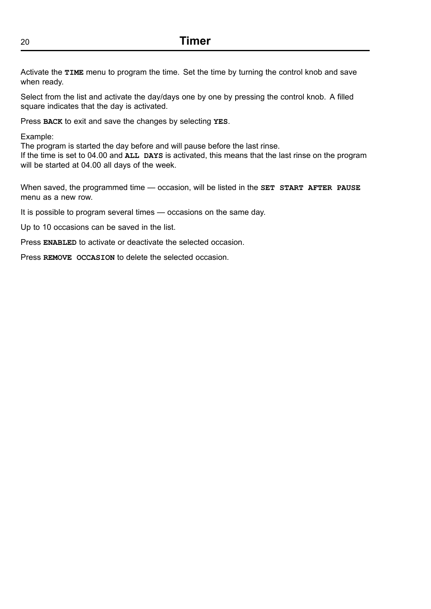Activate the **TIME** menu to program the time. Set the time by turning the control knob and save when ready.

Select from the list and activate the day/days one by one by pressing the control knob. A filled square indicates that the day is activated.

Press **BACK** to exit and save the changes by selecting **YES**.

Example:

The program is started the day before and will pause before the last rinse.

If the time is set to 04.00 and **ALL DAYS** is activated, this means that the last rinse on the program will be started at 04.00 all days of the week.

When saved, the programmed time — occasion, will be listed in the **SET START AFTER PAUSE** menu as a new row.

It is possible to program several times — occasions on the same day.

Up to 10 occasions can be saved in the list.

Press **ENABLED** to activate or deactivate the selected occasion.

Press **REMOVE OCCASION** to delete the selected occasion.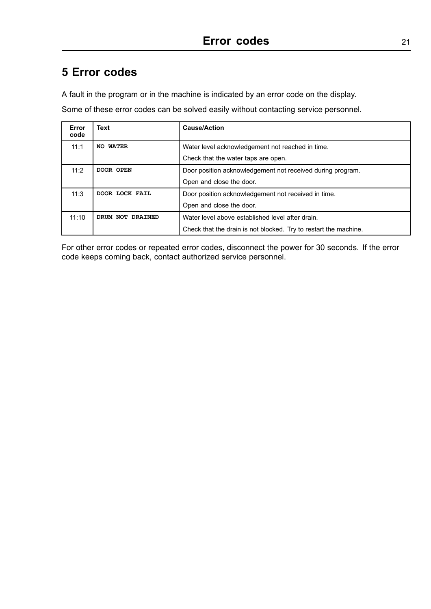## <span id="page-20-0"></span>**5 Error codes**

A fault in the program or in the machine is indicated by an error code on the display.

Some of these error codes can be solved easily without contacting service personnel.

| Error<br>code               | <b>Text</b>      | <b>Cause/Action</b>                                              |
|-----------------------------|------------------|------------------------------------------------------------------|
| 11:1<br><b>WATER</b><br>NO. |                  | Water level acknowledgement not reached in time.                 |
|                             |                  | Check that the water taps are open.                              |
| 11:2                        | DOOR OPEN        | Door position acknowledgement not received during program.       |
|                             |                  | Open and close the door.                                         |
| 11:3                        | DOOR LOCK FAIL   | Door position acknowledgement not received in time.              |
|                             |                  | Open and close the door.                                         |
| 11:10                       | DRUM NOT DRAINED | Water level above established level after drain.                 |
|                             |                  | Check that the drain is not blocked. Try to restart the machine. |

For other error codes or repeated error codes, disconnect the power for 30 seconds. If the error code keeps coming back, contact authorized service personnel.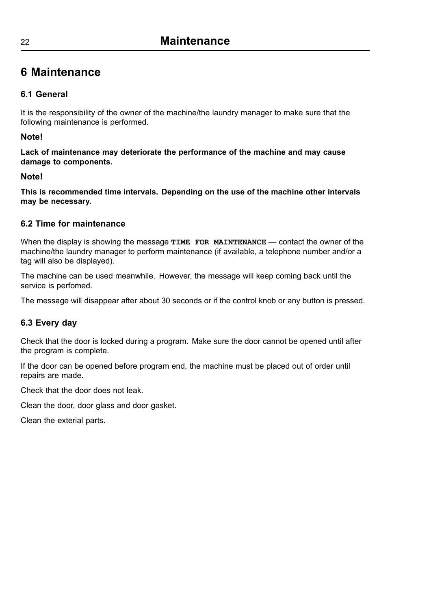## <span id="page-21-0"></span>**6 Maintenance**

## **6.1 General**

It is the responsibility of the owner of the machine/the laundry manager to make sure that the following maintenance is performed.

### **Note!**

**Lack of maintenance may deteriorate the performance of the machine and may cause damage to components.**

### **Note!**

**This is recommended time intervals. Depending on the use of the machine other intervals may be necessary.**

## **6.2 Time for maintenance**

When the display is showing the message **TIME** FOR MAINTENANCE — contact the owner of the machine/the laundry manager to perform maintenance (if available, <sup>a</sup> telephone number and/or <sup>a</sup> tag will also be displayed).

The machine can be used meanwhile. However, the message will keep coming back until the service is perfomed.

The message will disappear after about 30 seconds or if the control knob or any button is pressed.

## **6.3 Every day**

Check that the door is locked during <sup>a</sup> program. Make sure the door cannot be opened until after the program is complete.

If the door can be opened before program end, the machine must be placed out of order until repairs are made.

Check that the door does not leak.

Clean the door, door glass and door gasket.

Clean the exterial parts.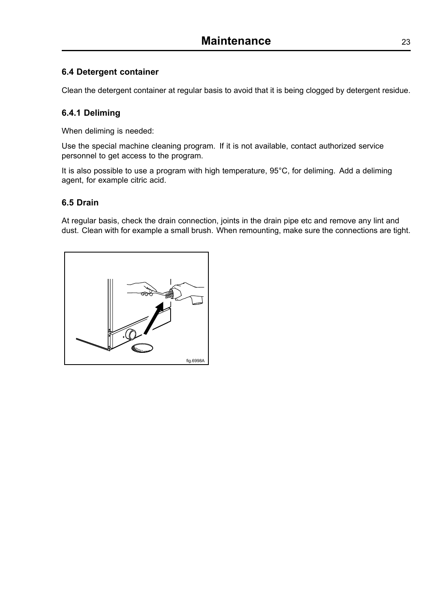### <span id="page-22-0"></span>**6.4 Detergent container**

Clean the detergent container at regular basis to avoid that it is being clogged by detergent residue.

### **6.4.1 Deliming**

When deliming is needed:

Use the special machine cleaning program. If it is not available, contact authorized service personnel to get access to the program.

It is also possible to use <sup>a</sup> program with high temperature, 95°C, for deliming. Add <sup>a</sup> deliming agent, for example citric acid.

#### **6.5 Drain**

At regular basis, check the drain connection, joints in the drain pipe etc and remove any lint and dust. Clean with for example <sup>a</sup> small brush. When remounting, make sure the connections are tight.

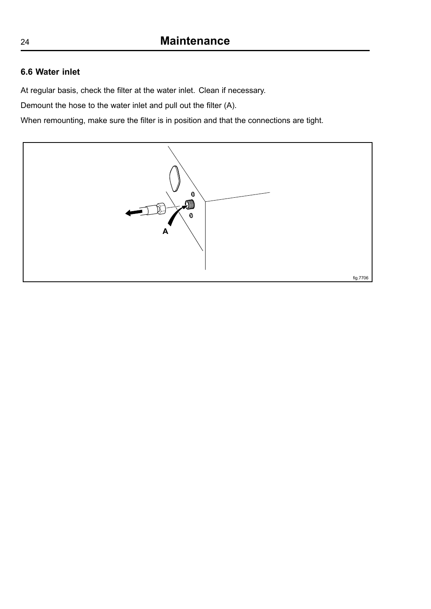### **6.6 Water inlet**

At regular basis, check the filter at the water inlet. Clean if necessary.

Demount the hose to the water inlet and pull out the filter (A).

When remounting, make sure the filter is in position and that the connections are tight.



<span id="page-23-0"></span>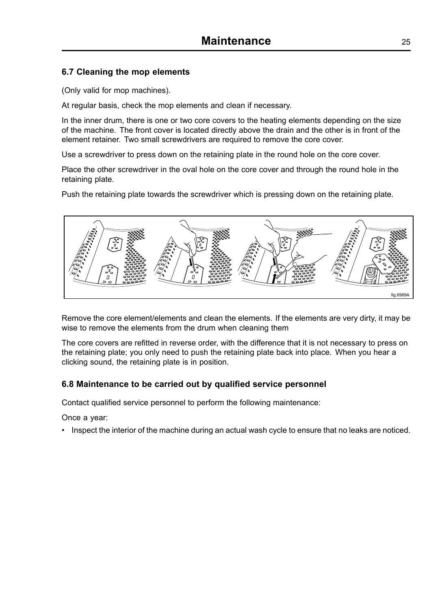### <span id="page-24-0"></span>**6.7 Cleaning the mop elements**

(Only valid for mop machines).

At regular basis, check the mop elements and clean if necessary.

In the inner drum, there is one or two core covers to the heating elements depending on the size of the machine. The front cover is located directly above the drain and the other is in front of the element retainer. Two small screwdrivers are required to remove the core cover.

Use <sup>a</sup> screwdriver to press down on the retaining plate in the round hole on the core cover.

Place the other screwdriver in the oval hole on the core cover and through the round hole in the retaining plate.

Push the retaining plate towards the screwdriver which is pressing down on the retaining plate.



Remove the core element/elements and clean the elements. If the elements are very dirty, it may be wise to remove the elements from the drum when cleaning them

The core covers are refitted in reverse order, with the difference that it is not necessary to press on the retaining plate; you only need to push the retaining plate back into place. When you hear <sup>a</sup> clicking sound, the retaining plate is in position.

#### **6.8 Maintenance to be carried out by qualified service personnel**

Contact qualified service personnel to perform the following maintenance:

Once <sup>a</sup> year:

• Inspect the interior of the machine during an actual wash cycle to ensure that no leaks are noticed.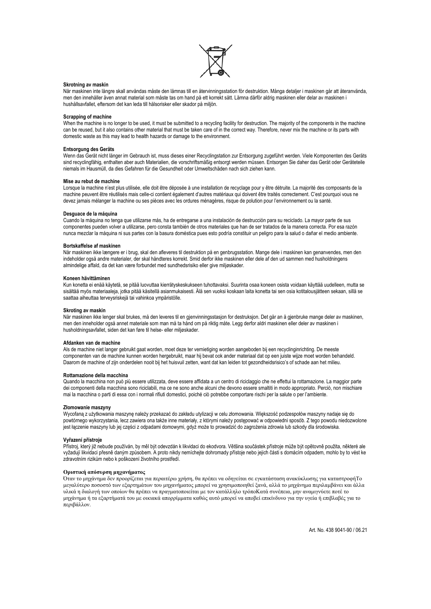

#### **Skrotning av maskin**

När maskinen inte längre skall användas måste den lämnas till en återvinningsstation för destruktion. Många detaljer i maskinen går att återanvända, men den innehåller även annat material som måste tas om hand på ett korrekt sätt. Lämna därför aldrig maskinen eller delar av maskinen i hushållsavfallet, eftersom det kan leda till hälsorisker eller skador på miljön.

#### **Scrapping of machine**

When the machine is no longer to be used, it must be submitted to a recycling facility for destruction. The majority of the components in the machine can be reused, but it also contains other material that must be taken care of in the correct way. Therefore, never mix the machine or its parts with domestic waste as this may lead to health hazards or damage to the environment.

#### **Entsorgung des Geräts**

Wenn das Gerät nicht länger im Gebrauch ist, muss dieses einer Recyclingstation zur Entsorgung zugeführt werden. Viele Komponenten des Geräts sind recyclingfähig, enthalten aber auch Materialien, die vorschriftsmäßig entsorgt werden müssen. Entsorgen Sie daher das Gerät oder Geräteteile niemals im Hausmüll, da dies Gefahren für die Gesundheit oder Umweltschäden nach sich ziehen kann.

#### **Mise au rebut de machine**

Lorsque la machine n'est plus utilisée, elle doit être déposée à une installation de recyclage pour y être détruite. La majorité des composants de la machine peuvent être réutilisés mais celle-ci contient également d'autres matériaux qui doivent être traités correctement. C'est pourquoi vous ne devez jamais mélanger la machine ou ses pièces avec les ordures ménagères, risque de polution pour l'environnement ou la santé.

#### **Desguace de la máquina**

Cuando la máquina no tenga que utilizarse más, ha de entregarse a una instalación de destrucción para su reciclado. La mayor parte de sus componentes pueden volver a utilizarse, pero consta también de otros materiales que han de ser tratados de la manera correcta. Por esa razón nunca mezclar la máquina ni sus partes con la basura doméstica pues esto podría constituir un peligro para la salud o dañar el medio ambiente.

#### **Bortskaffelse af maskinen**

Når maskinen ikke længere er i brug, skal den afleveres til destruktion på en genbrugsstation. Mange dele i maskinen kan genanvendes, men den indeholder også andre materialer, der skal håndteres korrekt. Smid derfor ikke maskinen eller dele af den ud sammen med husholdningens almindelige affald, da det kan være forbundet med sundhedsrisiko eller give miljøskader.

#### **Koneen hävittäminen**

Kun konetta ei enää käytetä, se pitää luovuttaa kierrätyskeskukseen tuhottavaksi. Suurinta osaa koneen osista voidaan käyttää uudelleen, mutta se sisältää myös materiaaleja, jotka pitää käsitellä asianmukaisesti. Älä sen vuoksi koskaan laita konetta tai sen osia kotitalousjätteen sekaan, sillä se saattaa aiheuttaa terveysriskejä tai vahinkoa ympäristölle.

#### **Skroting av maskin**

Når maskinen ikke lenger skal brukes, må den leveres til en gjenvinningsstasjon for destruksjon. Det går an å gjenbruke mange deler av maskinen, men den inneholder også annet materiale som man må ta hånd om på riktig måte. Legg derfor aldri maskinen eller deler av maskinen i husholdningsavfallet, siden det kan føre til helse- eller miljøskader.

#### **Afdanken van de machine**

Als de machine niet langer gebruikt gaat worden, moet deze ter vernietiging worden aangeboden bij een recyclinginrichting. De meeste componenten van de machine kunnen worden hergebruikt, maar hij bevat ook ander materiaal dat op een juiste wijze moet worden behandeld. Daarom de machine of zijn onderdelen nooit bij het huisvuil zetten, want dat kan leiden tot gezondheidsrisico's of schade aan het milieu.

#### **Rottamazione della macchina**

Quando la macchina non può più essere utilizzata, deve essere affidata a un centro di riciclaggio che ne effettui la rottamazione. La maggior parte dei componenti della macchina sono riciclabili, ma ce ne sono anche alcuni che devono essere smaltiti in modo appropriato. Perciò, non mischiare mai la macchina o parti di essa con i normali rifiuti domestici, poiché ciò potrebbe comportare rischi per la salute o per l'ambiente.

#### **Złomowanie maszyny**

Wycofaną z użytkowania maszynę należy przekazać do zakładu utylizacji w celu złomowania. Większość podzespołów maszyny nadaje się do powtórnego wykorzystania, lecz zawiera ona także inne materiały, z którymi należy postępować w odpowiedni sposób. Z tego powodu niedozwolone jest łączenie maszyny lub jej części z odpadami domowymi, gdyż może to prowadzić do zagrożenia zdrowia lub szkody dla środowiska.

#### **Vyřazení přístroje**

Přístroj, který již nebude používán, by měl být odevzdán k likvidaci do ekodvora. Většina součástek přístroje může být opětovně použita, některé ale vyžadují likvidaci přesně daným způsobem. A proto nikdy nemíchejte dohromady přístoje nebo jejich části s domácím odpadem, mohlo by to vést ke zdravotním rizikům nebo k poškození životního prostředí.

#### **Οριστική απόσυρση μηχανήματος**

Όταν το μηχάνημα δεν προορίζεται για περαιτέρω χρήση, θα πρέπει να οδηγείται σε εγκατάσταση ανακύκλωσης για καταστροφήΤο μεγαλύτερο ποσοστό των εξαρτημάτων του μηχανήματος μπορεί να χρησιμοποιηθεί ξανά, αλλά το μηχάνημα περιλαμβάνει και άλλα υλικά η διαλογή των οποίων θα πρέπει να πραγματοποιείται με τον κατάλληλο τρόποΚατά συνέπεια, μην αναμιγνύετε ποτέ το μηχάνημα ή τα εξαρτήματά του με οικιακά απορρίμματα καθώς αυτό μπορεί να αποβεί επικίνδυνο για την υγεία ή επιβλαβές για το περιβάλλον.